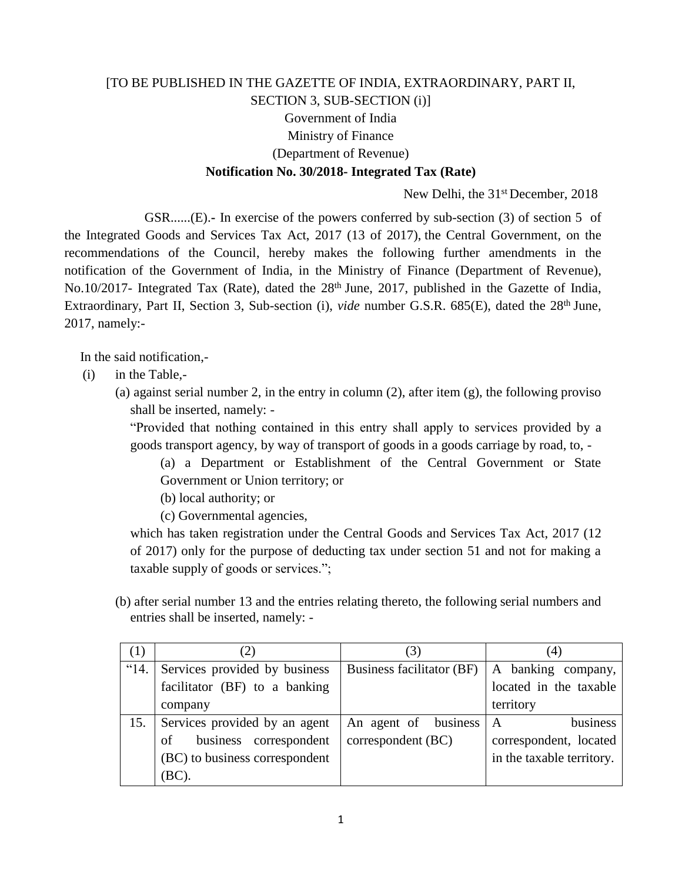## [TO BE PUBLISHED IN THE GAZETTE OF INDIA, EXTRAORDINARY, PART II, SECTION 3, SUB-SECTION (i)] Government of India Ministry of Finance (Department of Revenue) **Notification No. 30/2018- Integrated Tax (Rate)**

New Delhi, the 31<sup>st</sup> December, 2018

GSR......(E).**-** In exercise of the powers conferred by sub-section (3) of section 5 of the Integrated Goods and Services Tax Act, 2017 (13 of 2017), the Central Government, on the recommendations of the Council, hereby makes the following further amendments in the notification of the Government of India, in the Ministry of Finance (Department of Revenue), No.10/2017- Integrated Tax (Rate), dated the 28<sup>th</sup> June, 2017, published in the Gazette of India, Extraordinary, Part II, Section 3, Sub-section (i), *vide* number G.S.R. 685(E), dated the 28<sup>th</sup> June, 2017, namely:-

In the said notification,-

- (i) in the Table,-
	- (a) against serial number 2, in the entry in column  $(2)$ , after item  $(g)$ , the following proviso shall be inserted, namely: -

"Provided that nothing contained in this entry shall apply to services provided by a goods transport agency, by way of transport of goods in a goods carriage by road, to, -

(a) a Department or Establishment of the Central Government or State Government or Union territory; or

(b) local authority; or

(c) Governmental agencies,

which has taken registration under the Central Goods and Services Tax Act, 2017 (12 of 2017) only for the purpose of deducting tax under section 51 and not for making a taxable supply of goods or services.";

(b) after serial number 13 and the entries relating thereto, the following serial numbers and entries shall be inserted, namely: -

| (1)           | (2)                            | 3)                        | (4)                       |
|---------------|--------------------------------|---------------------------|---------------------------|
| $^{\circ}14.$ | Services provided by business  | Business facilitator (BF) | A banking company,        |
|               | facilitator (BF) to a banking  |                           | located in the taxable    |
|               | company                        |                           | territory                 |
| 15.           | Services provided by an agent  | An agent of business      | business<br>A             |
|               | business correspondent<br>of   | correspondent (BC)        | correspondent, located    |
|               | (BC) to business correspondent |                           | in the taxable territory. |
|               | (BC).                          |                           |                           |